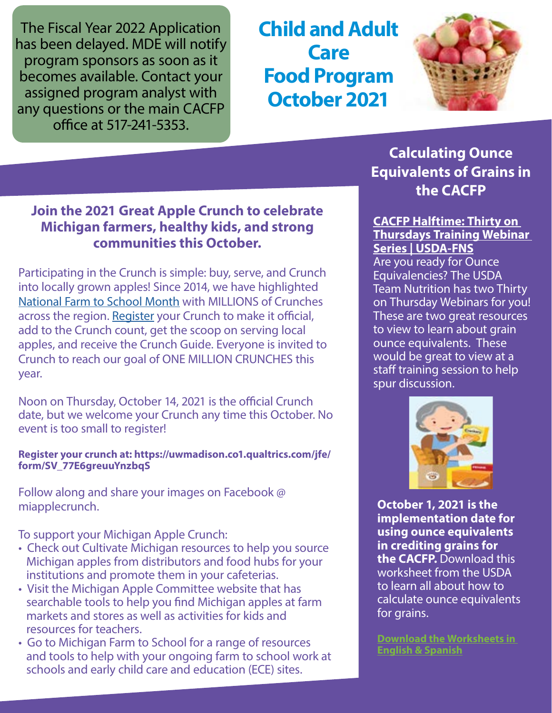The Fiscal Year 2022 Application has been delayed. MDE will notify program sponsors as soon as it becomes available. Contact your assigned program analyst with any questions or the main CACFP office at 517-241-5353.

**Child and Adult Care Food Program October 2021**



### **Join the 2021 Great Apple Crunch to celebrate Michigan farmers, healthy kids, and strong communities this October.**

Participating in the Crunch is simple: buy, serve, and Crunch into locally grown apples! Since 2014, we have highlighted [National Farm to School Month](https://gcc02.safelinks.protection.outlook.com/?url=https%3A%2F%2Fwww.farmtoschool.org%2Four-work%2Ffarm-to-school-month&data=04%7C01%7CGalbaviT%40michigan.gov%7C53e60c01ed9a49756f3208d9786d0b66%7Cd5fb7087377742ad966a892ef47225d1%7C0%7C0%7C637673232000432413%7CUnknown%7CTWFpbGZsb3d8eyJWIjoiMC4wLjAwMDAiLCJQIjoiV2luMzIiLCJBTiI6Ik1haWwiLCJXVCI6Mn0%3D%7C1000&sdata=VYgUfZINgxxnsUbAtsCcUGDlS3q0OeQn4e7u8iUr4LY%3D&reserved=0) with MILLIONS of Crunches across the region. [Register](https://gcc02.safelinks.protection.outlook.com/?url=https%3A%2F%2Fuwmadison.co1.qualtrics.com%2Fjfe%2Fform%2FSV_77E6greuuYnzbqS&data=04%7C01%7CGalbaviT%40michigan.gov%7C53e60c01ed9a49756f3208d9786d0b66%7Cd5fb7087377742ad966a892ef47225d1%7C0%7C0%7C637673232000432413%7CUnknown%7CTWFpbGZsb3d8eyJWIjoiMC4wLjAwMDAiLCJQIjoiV2luMzIiLCJBTiI6Ik1haWwiLCJXVCI6Mn0%3D%7C1000&sdata=ex07t62ZQgROtyGK4E%2FvU7wgcJqdPF%2BX1Tfq%2FjvXNPE%3D&reserved=0) your Crunch to make it official, add to the Crunch count, get the scoop on serving local apples, and receive the Crunch Guide. Everyone is invited to Crunch to reach our goal of ONE MILLION CRUNCHES this year.

Noon on Thursday, October 14, 2021 is the official Crunch date, but we welcome your Crunch any time this October. No event is too small to register!

#### **Register your crunch at: https://uwmadison.co1.qualtrics.com/jfe/ form/SV\_77E6greuuYnzbqS**

Follow along and share your images on Facebook @ miapplecrunch.

To support your Michigan Apple Crunch:

- Check out Cultivate Michigan resources to help you source Michigan apples from distributors and food hubs for your institutions and promote them in your cafeterias.
- Visit the Michigan Apple Committee website that has searchable tools to help you find Michigan apples at farm markets and stores as well as activities for kids and resources for teachers.
- Go to Michigan Farm to School for a range of resources and tools to help with your ongoing farm to school work at schools and early child care and education (ECE) sites.

**Calculating Ounce Equivalents of Grains in the CACFP**

#### **[CACFP Halftime: Thirty on](https://www.fns.usda.gov/tn/halftime-cacfp-thirty-thursdays-training-webinar-series)  [Thursdays Training Webinar](https://www.fns.usda.gov/tn/halftime-cacfp-thirty-thursdays-training-webinar-series)  [Series | USDA-FNS](https://www.fns.usda.gov/tn/halftime-cacfp-thirty-thursdays-training-webinar-series)**

Are you ready for Ounce Equivalencies? The USDA Team Nutrition has two Thirty on Thursday Webinars for you! These are two great resources to view to learn about grain ounce equivalents. These would be great to view at a staff training session to help spur discussion.



**October 1, 2021 is the implementation date for using ounce equivalents in crediting grains for the CACFP.** Download this worksheet from the USDA to learn all about how to calculate ounce equivalents for grains.

**[Download the Worksheets in](https://gcc02.safelinks.protection.outlook.com/?url=https%3A%2F%2Fr20.rs6.net%2Ftn.jsp%3Ff%3D001yOrJF6JU97zb2mH997cnHs0ol_Lx_Xun1TpsqcC_--yn44sgVIWqcCphJpw6wffMCYtFBhTlhHqrTgoM7hengMuwyHTAjXG5CLH814Yq5Njkhzhl2EUCaN-tKxpTBUFBDYFREsvcOv70-Bm8ntePEH9yOmzQjLoJFm61fWMegqKG92-lg0edD2Sgarr5WwGoqx_YMshf7R10mQHW3kPjiXJqRQuUqjD3hAKhFsRqkSO-aK0J2Mp540fPFJi3osB-luMyYHzn-r8%3D%26c%3D_W0rzJ2xOBompmmhTDlNHfy5lAXCMCPilOrmp9DrzTQoCMQsBke6Ig%3D%3D%26ch%3DnVV9rQhPhnCyYeNOAQUTShgv_PGjLmvtGK7wYTPBu9x1Lhrr5bpnWg%3D%3D&data=04%7C01%7Cgalbavit%40michigan.gov%7Cf6275c4fb0ec4935820808d9779274aa%7Cd5fb7087377742ad966a892ef47225d1%7C0%7C0%7C637672293185165340%7CUnknown%7CTWFpbGZsb3d8eyJWIjoiMC4wLjAwMDAiLCJQIjoiV2luMzIiLCJBTiI6Ik1haWwiLCJXVCI6Mn0%3D%7C1000&sdata=7VOB7OIjk2IG1w69blj1XQq7pRfKHEtK8ZwWQXEEBUk%3D&reserved=0)  [English & Spanish](https://gcc02.safelinks.protection.outlook.com/?url=https%3A%2F%2Fr20.rs6.net%2Ftn.jsp%3Ff%3D001yOrJF6JU97zb2mH997cnHs0ol_Lx_Xun1TpsqcC_--yn44sgVIWqcCphJpw6wffMCYtFBhTlhHqrTgoM7hengMuwyHTAjXG5CLH814Yq5Njkhzhl2EUCaN-tKxpTBUFBDYFREsvcOv70-Bm8ntePEH9yOmzQjLoJFm61fWMegqKG92-lg0edD2Sgarr5WwGoqx_YMshf7R10mQHW3kPjiXJqRQuUqjD3hAKhFsRqkSO-aK0J2Mp540fPFJi3osB-luMyYHzn-r8%3D%26c%3D_W0rzJ2xOBompmmhTDlNHfy5lAXCMCPilOrmp9DrzTQoCMQsBke6Ig%3D%3D%26ch%3DnVV9rQhPhnCyYeNOAQUTShgv_PGjLmvtGK7wYTPBu9x1Lhrr5bpnWg%3D%3D&data=04%7C01%7Cgalbavit%40michigan.gov%7Cf6275c4fb0ec4935820808d9779274aa%7Cd5fb7087377742ad966a892ef47225d1%7C0%7C0%7C637672293185165340%7CUnknown%7CTWFpbGZsb3d8eyJWIjoiMC4wLjAwMDAiLCJQIjoiV2luMzIiLCJBTiI6Ik1haWwiLCJXVCI6Mn0%3D%7C1000&sdata=7VOB7OIjk2IG1w69blj1XQq7pRfKHEtK8ZwWQXEEBUk%3D&reserved=0)**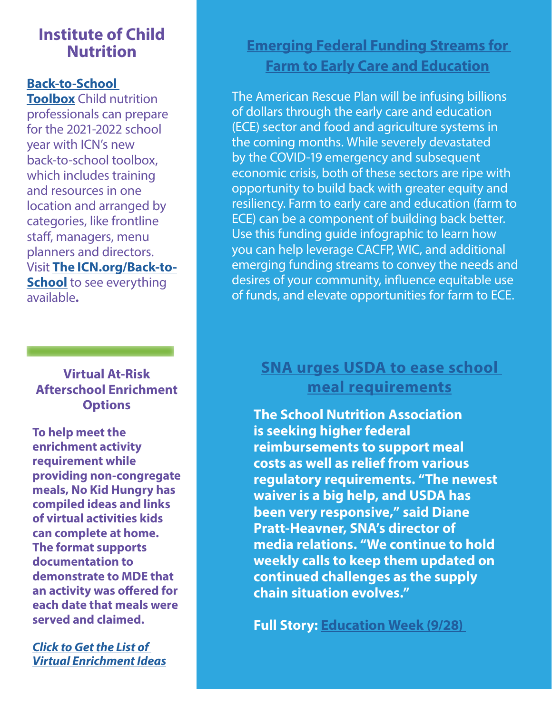## **Institute of Child Nutrition**

#### **[Back-to-School](https://gcc02.safelinks.protection.outlook.com/?url=https%3A%2F%2Fnokidhungry.us13.list-manage.com%2Ftrack%2Fclick%3Fu%3D283504c3b3add96827a4ae4b9%26id%3D4ce5bccb0d%26e%3Df7c84d0da7&data=04%7C01%7CGalbaviT%40michigan.gov%7Cecbfbb8b5fa34815ea7808d972c7afae%7Cd5fb7087377742ad966a892ef47225d1%7C0%7C0%7C637667027064078172%7CUnknown%7CTWFpbGZsb3d8eyJWIjoiMC4wLjAwMDAiLCJQIjoiV2luMzIiLCJBTiI6Ik1haWwiLCJXVCI6Mn0%3D%7C1000&sdata=jvnIYGfgAiXIwinvwQgDPcE5JjF7txtiy57K74dNZrc%3D&reserved=0)**

**[Toolbox](https://gcc02.safelinks.protection.outlook.com/?url=https%3A%2F%2Fnokidhungry.us13.list-manage.com%2Ftrack%2Fclick%3Fu%3D283504c3b3add96827a4ae4b9%26id%3D4ce5bccb0d%26e%3Df7c84d0da7&data=04%7C01%7CGalbaviT%40michigan.gov%7Cecbfbb8b5fa34815ea7808d972c7afae%7Cd5fb7087377742ad966a892ef47225d1%7C0%7C0%7C637667027064078172%7CUnknown%7CTWFpbGZsb3d8eyJWIjoiMC4wLjAwMDAiLCJQIjoiV2luMzIiLCJBTiI6Ik1haWwiLCJXVCI6Mn0%3D%7C1000&sdata=jvnIYGfgAiXIwinvwQgDPcE5JjF7txtiy57K74dNZrc%3D&reserved=0)** Child nutrition professionals can prepare for the 2021-2022 school year with ICN's new back-to-school toolbox, which includes training and resources in one location and arranged by categories, like frontline staff, managers, menu planners and directors. Visit **[The ICN.org/Back-to-](https://gcc02.safelinks.protection.outlook.com/?url=https%3A%2F%2Fnokidhungry.us13.list-manage.com%2Ftrack%2Fclick%3Fu%3D283504c3b3add96827a4ae4b9%26id%3D3abba84fee%26e%3Df7c84d0da7&data=04%7C01%7CGalbaviT%40michigan.gov%7Cecbfbb8b5fa34815ea7808d972c7afae%7Cd5fb7087377742ad966a892ef47225d1%7C0%7C0%7C637667027064088134%7CUnknown%7CTWFpbGZsb3d8eyJWIjoiMC4wLjAwMDAiLCJQIjoiV2luMzIiLCJBTiI6Ik1haWwiLCJXVCI6Mn0%3D%7C1000&sdata=MUbmynxinz989vsRyQj5zo4AjsIxyv%2BIYnsJWISs3po%3D&reserved=0)[School](https://gcc02.safelinks.protection.outlook.com/?url=https%3A%2F%2Fnokidhungry.us13.list-manage.com%2Ftrack%2Fclick%3Fu%3D283504c3b3add96827a4ae4b9%26id%3D3abba84fee%26e%3Df7c84d0da7&data=04%7C01%7CGalbaviT%40michigan.gov%7Cecbfbb8b5fa34815ea7808d972c7afae%7Cd5fb7087377742ad966a892ef47225d1%7C0%7C0%7C637667027064088134%7CUnknown%7CTWFpbGZsb3d8eyJWIjoiMC4wLjAwMDAiLCJQIjoiV2luMzIiLCJBTiI6Ik1haWwiLCJXVCI6Mn0%3D%7C1000&sdata=MUbmynxinz989vsRyQj5zo4AjsIxyv%2BIYnsJWISs3po%3D&reserved=0)** to see everything

available**.**

### **Virtual At-Risk Afterschool Enrichment Options**

**To help meet the enrichment activity requirement while providing non-congregate meals, No Kid Hungry has compiled ideas and links of virtual activities kids can complete at home. The format supports documentation to demonstrate to MDE that an activity was offered for each date that meals were served and claimed.**

*[Click to Get the List of](Reducing the Risk of Choking Handout Released
Children under the age of four are at a high risk of choking while eating. Created for by the USDA for parents and caregivers of young children, this colorful four-page resource includes tips on:
•	Preparing foods to make them easier to chew
•	Choking hazards to avoid
•	Ways to model and teach good eating habits 
Download the English & Spanish Handout
)  [Virtual Enrichment Ideas](Reducing the Risk of Choking Handout Released
Children under the age of four are at a high risk of choking while eating. Created for by the USDA for parents and caregivers of young children, this colorful four-page resource includes tips on:
•	Preparing foods to make them easier to chew
•	Choking hazards to avoid
•	Ways to model and teach good eating habits 
Download the English & Spanish Handout
)*

## **[Emerging Federal Funding Streams for](https://frac.org/research/resource-library/emerging-federal-funding-streams-for-farm-to-early-care-and-education)  [Farm to Early Care and Education](https://frac.org/research/resource-library/emerging-federal-funding-streams-for-farm-to-early-care-and-education)**

The American Rescue Plan will be infusing billions of dollars through the early care and education (ECE) sector and food and agriculture systems in the coming months. While severely devastated by the COVID-19 emergency and subsequent economic crisis, both of these sectors are ripe with opportunity to build back with greater equity and resiliency. Farm to early care and education (farm to ECE) can be a component of building back better. Use this funding guide infographic to learn how you can help leverage CACFP, WIC, and additional emerging funding streams to convey the needs and desires of your community, influence equitable use of funds, and elevate opportunities for farm to ECE.

## **[SNA urges USDA to ease school](https://gcc02.safelinks.protection.outlook.com/?url=http%3A%2F%2Fr.smartbrief.com%2Fresp%2ForayCluUduDqwUsECifDasCicNljSs%3Fformat%3Dmultipart&data=04%7C01%7CGalbaviT%40michigan.gov%7C8521cc3a6edc4891a88408d983731676%7Cd5fb7087377742ad966a892ef47225d1%7C0%7C0%7C637685352589302221%7CUnknown%7CTWFpbGZsb3d8eyJWIjoiMC4wLjAwMDAiLCJQIjoiV2luMzIiLCJBTiI6Ik1haWwiLCJXVCI6Mn0%3D%7C1000&sdata=HPHFZvzhSzEhIDnnLowjNnY3q29u5Cj5BQQEZYYqH1M%3D&reserved=0)  [meal requirements](https://gcc02.safelinks.protection.outlook.com/?url=http%3A%2F%2Fr.smartbrief.com%2Fresp%2ForayCluUduDqwUsECifDasCicNljSs%3Fformat%3Dmultipart&data=04%7C01%7CGalbaviT%40michigan.gov%7C8521cc3a6edc4891a88408d983731676%7Cd5fb7087377742ad966a892ef47225d1%7C0%7C0%7C637685352589302221%7CUnknown%7CTWFpbGZsb3d8eyJWIjoiMC4wLjAwMDAiLCJQIjoiV2luMzIiLCJBTiI6Ik1haWwiLCJXVCI6Mn0%3D%7C1000&sdata=HPHFZvzhSzEhIDnnLowjNnY3q29u5Cj5BQQEZYYqH1M%3D&reserved=0)**

**The School Nutrition Association is seeking higher federal reimbursements to support meal costs as well as relief from various regulatory requirements. "The newest waiver is a big help, and USDA has been very responsive," said Diane Pratt-Heavner, SNA's director of media relations. "We continue to hold weekly calls to keep them updated on continued challenges as the supply chain situation evolves."**

**Full Story: [Education Week \(9/28\)](https://gcc02.safelinks.protection.outlook.com/?url=http%3A%2F%2Fr.smartbrief.com%2Fresp%2ForayCluUduDqwUsECifDasCicNljSs%3Fformat%3Dmultipart&data=04%7C01%7CGalbaviT%40michigan.gov%7C8521cc3a6edc4891a88408d983731676%7Cd5fb7087377742ad966a892ef47225d1%7C0%7C0%7C637685352589302221%7CUnknown%7CTWFpbGZsb3d8eyJWIjoiMC4wLjAwMDAiLCJQIjoiV2luMzIiLCJBTiI6Ik1haWwiLCJXVCI6Mn0%3D%7C1000&sdata=HPHFZvzhSzEhIDnnLowjNnY3q29u5Cj5BQQEZYYqH1M%3D&reserved=0)**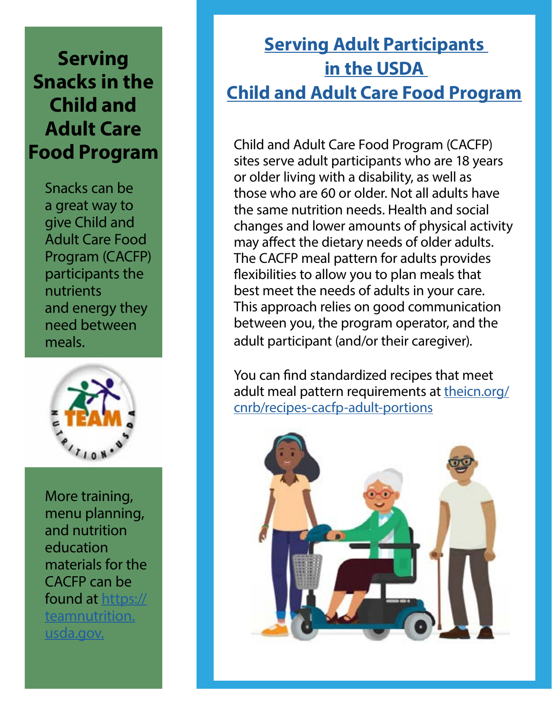# **Serving Snacks in the Child and Adult Care Food Program**

Snacks can be a great way to give Child and Adult Care Food Program (CACFP) participants the nutrients and energy they need between meals.



More training, menu planning, and nutrition education materials for the CACFP can be found at [https://](https://www.fns.usda.gov/tn) [teamnutrition.](https://www.fns.usda.gov/tn) [usda.gov.](https://www.fns.usda.gov/tn)

# **[Serving Adult Participants](https://fns-prod.azureedge.net/sites/default/files/resource-files/CACFP_ServingAdultParticipants.pdf)  [in the USDA](https://fns-prod.azureedge.net/sites/default/files/resource-files/CACFP_ServingAdultParticipants.pdf)  [Child and Adult Care Food Program](https://fns-prod.azureedge.net/sites/default/files/resource-files/CACFP_ServingAdultParticipants.pdf)**

Child and Adult Care Food Program (CACFP) sites serve adult participants who are 18 years or older living with a disability, as well as those who are 60 or older. Not all adults have the same nutrition needs. Health and social changes and lower amounts of physical activity may affect the dietary needs of older adults. The CACFP meal pattern for adults provides flexibilities to allow you to plan meals that best meet the needs of adults in your care. This approach relies on good communication between you, the program operator, and the adult participant (and/or their caregiver).

You can find standardized recipes that meet adult meal pattern requirements at [theicn.org/](https://theicn.org/cnrb/recipes-cacfp-adult-portions) [cnrb/recipes-cacfp-adult-portions](https://theicn.org/cnrb/recipes-cacfp-adult-portions)

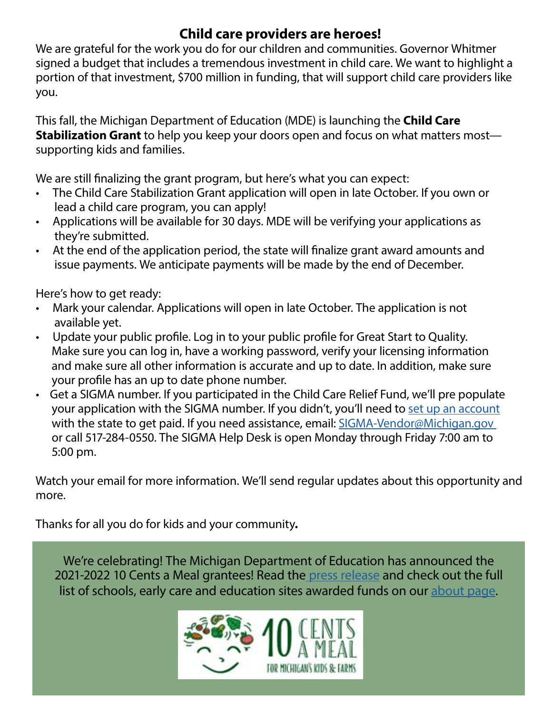## **Child care providers are heroes!**

We are grateful for the work you do for our children and communities. Governor Whitmer signed a budget that includes a tremendous investment in child care. We want to highlight a portion of that investment, \$700 million in funding, that will support child care providers like you.

This fall, the Michigan Department of Education (MDE) is launching the **Child Care Stabilization Grant** to help you keep your doors open and focus on what matters most supporting kids and families.

We are still finalizing the grant program, but here's what you can expect:

- The Child Care Stabilization Grant application will open in late October. If you own or lead a child care program, you can apply!
- Applications will be available for 30 days. MDE will be verifying your applications as they're submitted.
- At the end of the application period, the state will finalize grant award amounts and issue payments. We anticipate payments will be made by the end of December.

Here's how to get ready:

- Mark your calendar. Applications will open in late October. The application is not available yet.
- Update your public profile. Log in to your public profile for Great Start to Quality. Make sure you can log in, have a working password, verify your licensing information and make sure all other information is accurate and up to date. In addition, make sure your profile has an up to date phone number.
- Get a SIGMA number. If you participated in the Child Care Relief Fund, we'll pre populate your application with the SIGMA number. If you didn't, you'll need to [set up an account](https://gcc02.safelinks.protection.outlook.com/?url=https%3A%2F%2Flnks.gd%2Fl%2FeyJhbGciOiJIUzI1NiJ9.eyJidWxsZXRpbl9saW5rX2lkIjoxMDAsInVyaSI6ImJwMjpjbGljayIsImJ1bGxldGluX2lkIjoiMjAyMTEwMDEuNDY3NTI3NjEiLCJ1cmwiOiJodHRwczovL2djYzAyLnNhZmVsaW5rcy5wcm90ZWN0aW9uLm91dGxvb2suY29tLz91cmw9aHR0cHMlM0ElMkYlMkZzaWdtYS5taWNoaWdhbi5nb3YlMkZ3ZWJhcHAlMkZQUkRWU1MyWDElMkZBbHRTZWxmU2VydmljZSZkYXRhPTA0JTdDMDElN0NSaWViZWxTJTQwbWljaGlnYW4uZ292JTdDYmVlMzE5NDYxZjBjNGJmZDZiZWMwOGQ5ODRlOTcxNzElN0NkNWZiNzA4NzM3Nzc0MmFkOTY2YTg5MmVmNDcyMjVkMSU3QzAlN0MwJTdDNjM3Njg2OTYwNDIxMTQ2ODkwJTdDVW5rbm93biU3Q1RXRnBiR1pzYjNkOGV5SldJam9pTUM0d0xqQXdNREFpTENKUUlqb2lWMmx1TXpJaUxDSkJUaUk2SWsxaGFXd2lMQ0pYVkNJNk1uMCUzRCU3QzEwMDAmc2RhdGE9aDFzeDRRbWtqU2clMkZmOHlsRklPMzB5NEZXd2JQZmM1aGNvWE5ZJTJCeW94SW8lM0QmcmVzZXJ2ZWQ9MCJ9.cZD984WjxYjKQukza3qT1XaSf4fbW561CXDZ8KuLDyM%2Fs%2F497347080%2Fbr%2F113217124534-l&data=04%7C01%7Cgalbavit%40michigan.gov%7Ca311101c3efd4661ec7d08d984ea719c%7Cd5fb7087377742ad966a892ef47225d1%7C0%7C0%7C637686964729189553%7CUnknown%7CTWFpbGZsb3d8eyJWIjoiMC4wLjAwMDAiLCJQIjoiV2luMzIiLCJBTiI6Ik1haWwiLCJXVCI6Mn0%3D%7C1000&sdata=Sc9mOMFqgcZZvrbJt3rOr2C0PCTlJt4P4%2Blnk1UZAzI%3D&reserved=0) with the state to get paid. If you need assistance, email: [SIGMA-Vendor@Michigan.gov](mailto:SIGMA-Vendor@Michigan.gov)  or call 517-284-0550. The SIGMA Help Desk is open Monday through Friday 7:00 am to 5:00 pm.

Watch your email for more information. We'll send regular updates about this opportunity and more.

Thanks for all you do for kids and your community**.**

We're celebrating! The Michigan Department of Education has announced the 2021-2022 10 Cents a Meal grantees! Read th[e press release](https://gcc02.safelinks.protection.outlook.com/?url=https%3A%2F%2Fwww.tencentsmichigan.org%2Fmichigan_department_of_education_announces_2021_22_10_cents_a_meal_grantees%3Fe%3D899ddf7baa7349c1d3a83e67640c3db9%26utm_source%3Dtencentsmichigan%26utm_medium%3Demail%26utm_campaign%3D2022_10_cents_a_meal_grantees%26n%3D2&data=04%7C01%7CGalbaviT%40michigan.gov%7C45d509c894924138e5c008d9843da7cf%7Cd5fb7087377742ad966a892ef47225d1%7C0%7C0%7C637686222606787029%7CUnknown%7CTWFpbGZsb3d8eyJWIjoiMC4wLjAwMDAiLCJQIjoiV2luMzIiLCJBTiI6Ik1haWwiLCJXVCI6Mn0%3D%7C1000&sdata=BTs217dsYjoMCrZYxgna9tUXyDUvMQlNY4VAuROcQS8%3D&reserved=0) and check out the full list of schools, early care and education sites awarded funds on our [about page.](https://gcc02.safelinks.protection.outlook.com/?url=https%3A%2F%2Fwww.tencentsmichigan.org%2Fabout_overview%3Fe%3D899ddf7baa7349c1d3a83e67640c3db9%26utm_source%3Dtencentsmichigan%26utm_medium%3Demail%26utm_campaign%3D2022_10_cents_a_meal_grantees%26n%3D3&data=04%7C01%7CGalbaviT%40michigan.gov%7C45d509c894924138e5c008d9843da7cf%7Cd5fb7087377742ad966a892ef47225d1%7C0%7C0%7C637686222606796982%7CUnknown%7CTWFpbGZsb3d8eyJWIjoiMC4wLjAwMDAiLCJQIjoiV2luMzIiLCJBTiI6Ik1haWwiLCJXVCI6Mn0%3D%7C1000&sdata=heHfqh54R1DMBHwcibMeHAQUwIMT1GpDjJ1Ofdtngjo%3D&reserved=0)

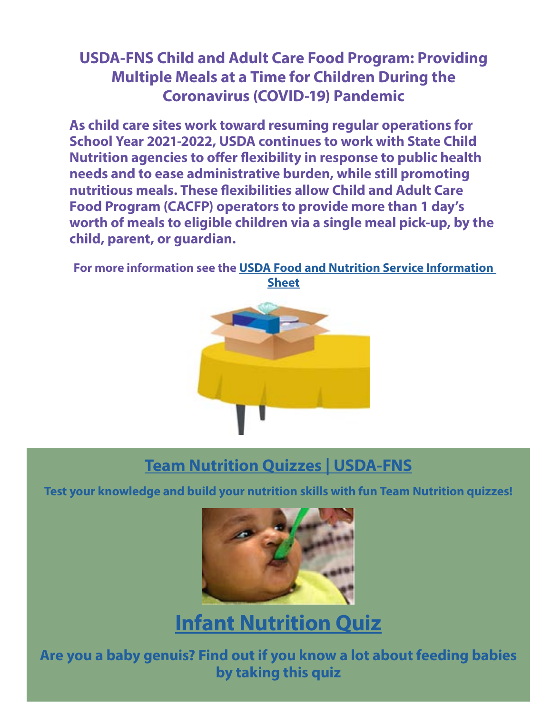## **USDA-FNS Child and Adult Care Food Program: Providing Multiple Meals at a Time for Children During the Coronavirus (COVID-19) Pandemic**

**As child care sites work toward resuming regular operations for School Year 2021-2022, USDA continues to work with State Child Nutrition agencies to offer flexibility in response to public health needs and to ease administrative burden, while still promoting nutritious meals. These flexibilities allow Child and Adult Care Food Program (CACFP) operators to provide more than 1 day's worth of meals to eligible children via a single meal pick-up, by the child, parent, or guardian.**

**For more information see the [USDA Food and Nutrition Service Information](https://fns-prod.azureedge.net/sites/default/files/resource-files/CFP_BulkFoods.pdf)  [Sheet](https://fns-prod.azureedge.net/sites/default/files/resource-files/CFP_BulkFoods.pdf)**



## **[Team Nutrition Quizzes | USDA-FNS](https://www.fns.usda.gov/tn/quizzes)**

**Test your knowledge and build your nutrition skills with fun Team Nutrition quizzes!**



# **[Infant Nutrition Quiz](https://www.fns.usda.gov/tn/quizzes/infant-nutrition)**

**Are you a baby genuis? Find out if you know a lot about feeding babies by taking this quiz**